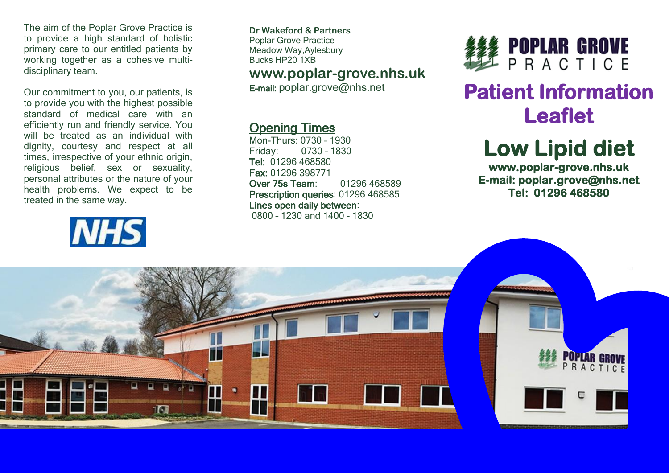The aim of the Poplar Grove Practice is to provide a high standard of holistic primary care to our entitled patients by working together as a cohesive multidisciplinary team.

Our commitment to you, our patients, is to provide you with the highest possible standard of medical care with an efficiently run and friendly service. You will be treated as an individual with dignity, courtesy and respect at all times, irrespective of your ethnic origin, religious belief, sex or sexuality, personal attributes or the nature of your health problems. We expect to be treated in the same way.

# **NHS**

**Dr Wakeford & Partners** Poplar Grove Practice Meadow Way,Aylesbury Bucks HP20 1XB

#### **www.poplar-grove.nhs.uk**

E-mail: [poplar.grove@nhs.net](mailto:poplar.grove@nhs.net)

#### Opening Times

Mon-Thurs: 0730 – 1930 Friday: 0730 – 1830 Tel: 01296 468580 Fax: 01296 398771 Over 75s Team: 01296 468589 Prescription queries: 01296 468585 Lines open daily between: 0800 – 1230 and 1400 – 1830



### **Patient Information Leaflet**

## **Low Lipid diet**

**www.poplar-grove.nhs.uk E-mail: poplar.grove@nhs.net Tel: 01296 468580**